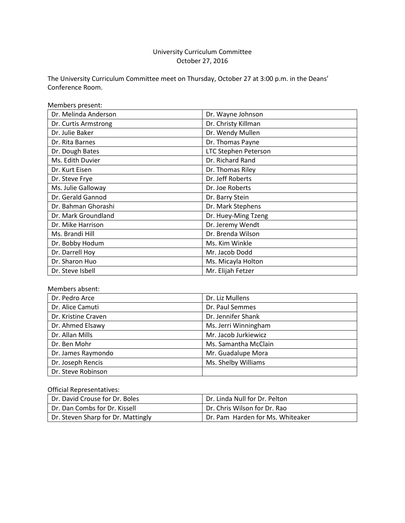# University Curriculum Committee October 27, 2016

The University Curriculum Committee meet on Thursday, October 27 at 3:00 p.m. in the Deans' Conference Room.

| Members present:     |                      |
|----------------------|----------------------|
| Dr. Melinda Anderson | Dr. Wayne Johnson    |
| Dr. Curtis Armstrong | Dr. Christy Killman  |
| Dr. Julie Baker      | Dr. Wendy Mullen     |
| Dr. Rita Barnes      | Dr. Thomas Payne     |
| Dr. Dough Bates      | LTC Stephen Peterson |
| Ms. Edith Duvier     | Dr. Richard Rand     |
| Dr. Kurt Eisen       | Dr. Thomas Riley     |
| Dr. Steve Frye       | Dr. Jeff Roberts     |
| Ms. Julie Galloway   | Dr. Joe Roberts      |
| Dr. Gerald Gannod    | Dr. Barry Stein      |
| Dr. Bahman Ghorashi  | Dr. Mark Stephens    |
| Dr. Mark Groundland  | Dr. Huey-Ming Tzeng  |
| Dr. Mike Harrison    | Dr. Jeremy Wendt     |
| Ms. Brandi Hill      | Dr. Brenda Wilson    |
| Dr. Bobby Hodum      | Ms. Kim Winkle       |
| Dr. Darrell Hoy      | Mr. Jacob Dodd       |
| Dr. Sharon Huo       | Ms. Micayla Holton   |
| Dr. Steve Isbell     | Mr. Elijah Fetzer    |

# Members absent:

| Dr. Pedro Arce      | Dr. Liz Mullens      |
|---------------------|----------------------|
| Dr. Alice Camuti    | Dr. Paul Semmes      |
| Dr. Kristine Craven | Dr. Jennifer Shank   |
| Dr. Ahmed Elsawy    | Ms. Jerri Winningham |
| Dr. Allan Mills     | Mr. Jacob Jurkiewicz |
| Dr. Ben Mohr        | Ms. Samantha McClain |
| Dr. James Raymondo  | Mr. Guadalupe Mora   |
| Dr. Joseph Rencis   | Ms. Shelby Williams  |
| Dr. Steve Robinson  |                      |

# Official Representatives:

| Dr. David Crouse for Dr. Boles     | Dr. Linda Null for Dr. Pelton    |
|------------------------------------|----------------------------------|
| Dr. Dan Combs for Dr. Kissell      | Dr. Chris Wilson for Dr. Rao     |
| Dr. Steven Sharp for Dr. Mattingly | Dr. Pam Harden for Ms. Whiteaker |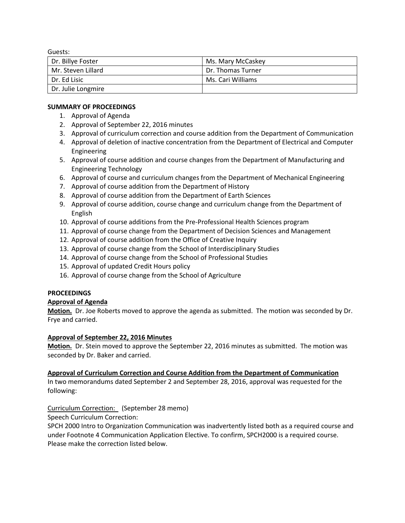Guests:

| Dr. Billye Foster  | Ms. Mary McCaskey |
|--------------------|-------------------|
| Mr. Steven Lillard | Dr. Thomas Turner |
| l Dr. Ed Lisic     | Ms. Cari Williams |
| Dr. Julie Longmire |                   |

### **SUMMARY OF PROCEEDINGS**

- 1. Approval of Agenda
- 2. Approval of September 22, 2016 minutes
- 3. Approval of curriculum correction and course addition from the Department of Communication
- 4. Approval of deletion of inactive concentration from the Department of Electrical and Computer Engineering
- 5. Approval of course addition and course changes from the Department of Manufacturing and Engineering Technology
- 6. Approval of course and curriculum changes from the Department of Mechanical Engineering
- 7. Approval of course addition from the Department of History
- 8. Approval of course addition from the Department of Earth Sciences
- 9. Approval of course addition, course change and curriculum change from the Department of English
- 10. Approval of course additions from the Pre-Professional Health Sciences program
- 11. Approval of course change from the Department of Decision Sciences and Management
- 12. Approval of course addition from the Office of Creative Inquiry
- 13. Approval of course change from the School of Interdisciplinary Studies
- 14. Approval of course change from the School of Professional Studies
- 15. Approval of updated Credit Hours policy
- 16. Approval of course change from the School of Agriculture

# **PROCEEDINGS**

# **Approval of Agenda**

**Motion.** Dr. Joe Roberts moved to approve the agenda as submitted. The motion was seconded by Dr. Frye and carried.

# **Approval of September 22, 2016 Minutes**

**Motion.** Dr. Stein moved to approve the September 22, 2016 minutes as submitted. The motion was seconded by Dr. Baker and carried.

### **Approval of Curriculum Correction and Course Addition from the Department of Communication**

In two memorandums dated September 2 and September 28, 2016, approval was requested for the following:

Curriculum Correction: (September 28 memo)

Speech Curriculum Correction:

SPCH 2000 Intro to Organization Communication was inadvertently listed both as a required course and under Footnote 4 Communication Application Elective. To confirm, SPCH2000 is a required course. Please make the correction listed below.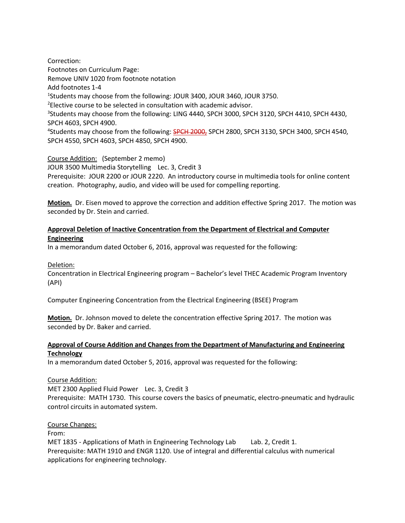Correction: Footnotes on Curriculum Page: Remove UNIV 1020 from footnote notation Add footnotes 1-4 <sup>1</sup>Students may choose from the following: JOUR 3400, JOUR 3460, JOUR 3750. <sup>2</sup>Elective course to be selected in consultation with academic advisor. <sup>3</sup>Students may choose from the following: LING 4440, SPCH 3000, SPCH 3120, SPCH 4410, SPCH 4430, SPCH 4603, SPCH 4900. <sup>4</sup>Students may choose from the following: SPCH 2000, SPCH 2800, SPCH 3130, SPCH 3400, SPCH 4540, SPCH 4550, SPCH 4603, SPCH 4850, SPCH 4900.

Course Addition: (September 2 memo) JOUR 3500 Multimedia Storytelling Lec. 3, Credit 3 Prerequisite: JOUR 2200 or JOUR 2220. An introductory course in multimedia tools for online content creation. Photography, audio, and video will be used for compelling reporting.

**Motion.** Dr. Eisen moved to approve the correction and addition effective Spring 2017. The motion was seconded by Dr. Stein and carried.

# **Approval Deletion of Inactive Concentration from the Department of Electrical and Computer Engineering**

In a memorandum dated October 6, 2016, approval was requested for the following:

Deletion:

Concentration in Electrical Engineering program – Bachelor's level THEC Academic Program Inventory (API)

Computer Engineering Concentration from the Electrical Engineering (BSEE) Program

**Motion.** Dr. Johnson moved to delete the concentration effective Spring 2017. The motion was seconded by Dr. Baker and carried.

# **Approval of Course Addition and Changes from the Department of Manufacturing and Engineering Technology**

In a memorandum dated October 5, 2016, approval was requested for the following:

Course Addition:

MET 2300 Applied Fluid Power Lec. 3, Credit 3

Prerequisite: MATH 1730. This course covers the basics of pneumatic, electro-pneumatic and hydraulic control circuits in automated system.

Course Changes:

From:

MET 1835 - Applications of Math in Engineering Technology Lab Lab. 2, Credit 1. Prerequisite: MATH 1910 and ENGR 1120. Use of integral and differential calculus with numerical applications for engineering technology.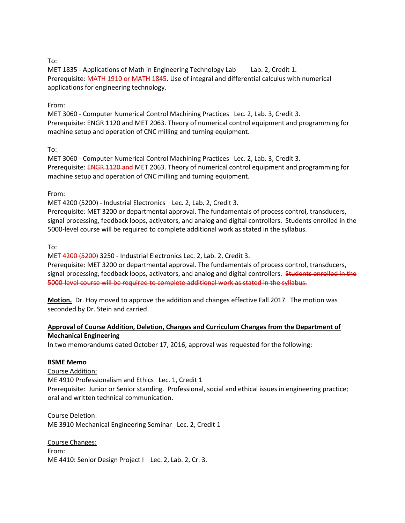# To:

MET 1835 - Applications of Math in Engineering Technology Lab Lab. 2, Credit 1. Prerequisite: MATH 1910 or MATH 1845. Use of integral and differential calculus with numerical applications for engineering technology.

### From:

MET 3060 - Computer Numerical Control Machining Practices Lec. 2, Lab. 3, Credit 3. Prerequisite: ENGR 1120 and MET 2063. Theory of numerical control equipment and programming for machine setup and operation of CNC milling and turning equipment.

#### To:

MET 3060 - Computer Numerical Control Machining Practices Lec. 2, Lab. 3, Credit 3. Prerequisite: ENGR 1120 and MET 2063. Theory of numerical control equipment and programming for machine setup and operation of CNC milling and turning equipment.

#### From:

MET 4200 (5200) - Industrial Electronics Lec. 2, Lab. 2, Credit 3.

Prerequisite: MET 3200 or departmental approval. The fundamentals of process control, transducers, signal processing, feedback loops, activators, and analog and digital controllers. Students enrolled in the 5000-level course will be required to complete additional work as stated in the syllabus.

#### To:

MET 4200 (5200) 3250 - Industrial Electronics Lec. 2, Lab. 2, Credit 3.

Prerequisite: MET 3200 or departmental approval. The fundamentals of process control, transducers, signal processing, feedback loops, activators, and analog and digital controllers. Students enrolled in the 5000-level course will be required to complete additional work as stated in the syllabus.

**Motion.** Dr. Hoy moved to approve the addition and changes effective Fall 2017. The motion was seconded by Dr. Stein and carried.

### **Approval of Course Addition, Deletion, Changes and Curriculum Changes from the Department of Mechanical Engineering**

In two memorandums dated October 17, 2016, approval was requested for the following:

#### **BSME Memo**

Course Addition:

ME 4910 Professionalism and Ethics Lec. 1, Credit 1 Prerequisite: Junior or Senior standing. Professional, social and ethical issues in engineering practice; oral and written technical communication.

Course Deletion: ME 3910 Mechanical Engineering Seminar Lec. 2, Credit 1

Course Changes: From: ME 4410: Senior Design Project | Lec. 2, Lab. 2, Cr. 3.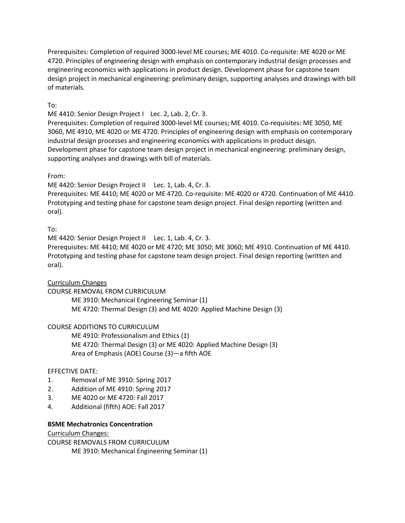Prerequisites: Completion of required 3000-level ME courses; ME 4010. Co-requisite: ME 4020 or ME 4720. Principles of engineering design with emphasis on contemporary industrial design processes and engineering economics with applications in product design. Development phase for capstone team design project in mechanical engineering: preliminary design, supporting analyses and drawings with bill of materials.

# To:

ME 4410: Senior Design Project I Lec. 2, Lab. 2, Cr. 3.

Prerequisites: Completion of required 3000-level ME courses; ME 4010. Co-requisites: ME 3050, ME 3060, ME 4910, ME 4020 or ME 4720. Principles of engineering design with emphasis on contemporary industrial design processes and engineering economics with applications in product design. Development phase for capstone team design project in mechanical engineering: preliminary design, supporting analyses and drawings with bill of materials.

# From:

ME 4420: Senior Design Project II Lec. 1, Lab. 4, Cr. 3.

Prerequisites: ME 4410; ME 4020 or ME 4720. Co-requisite: ME 4020 or 4720. Continuation of ME 4410. Prototyping and testing phase for capstone team design project. Final design reporting (written and oral).

# To:

ME 4420: Senior Design Project II Lec. 1, Lab. 4, Cr. 3.

Prerequisites: ME 4410; ME 4020 or ME 4720; ME 3050; ME 3060; ME 4910. Continuation of ME 4410. Prototyping and testing phase for capstone team design project. Final design reporting (written and oral).

### Curriculum Changes

COURSE REMOVAL FROM CURRICULUM

ME 3910: Mechanical Engineering Seminar (1) ME 4720: Thermal Design (3) and ME 4020: Applied Machine Design (3)

# COURSE ADDITIONS TO CURRICULUM

ME 4910: Professionalism and Ethics (1) ME 4720: Thermal Design (3) or ME 4020: Applied Machine Design (3) Area of Emphasis (AOE) Course (3)—a fifth AOE

### EFFECTIVE DATE:

- 1. Removal of ME 3910: Spring 2017
- 2. Addition of ME 4910: Spring 2017
- 3. ME 4020 or ME 4720: Fall 2017
- 4. Additional (fifth) AOE: Fall 2017

### **BSME Mechatronics Concentration**

Curriculum Changes:

COURSE REMOVALS FROM CURRICULUM ME 3910: Mechanical Engineering Seminar (1)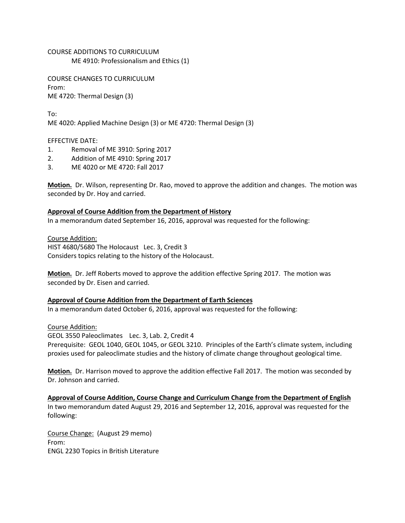COURSE ADDITIONS TO CURRICULUM ME 4910: Professionalism and Ethics (1)

COURSE CHANGES TO CURRICULUM From: ME 4720: Thermal Design (3)

To: ME 4020: Applied Machine Design (3) or ME 4720: Thermal Design (3)

EFFECTIVE DATE:

- 1. Removal of ME 3910: Spring 2017
- 2. Addition of ME 4910: Spring 2017
- 3. ME 4020 or ME 4720: Fall 2017

**Motion.** Dr. Wilson, representing Dr. Rao, moved to approve the addition and changes. The motion was seconded by Dr. Hoy and carried.

#### **Approval of Course Addition from the Department of History**

In a memorandum dated September 16, 2016, approval was requested for the following:

Course Addition: HIST 4680/5680 The Holocaust Lec. 3, Credit 3 Considers topics relating to the history of the Holocaust.

**Motion.** Dr. Jeff Roberts moved to approve the addition effective Spring 2017. The motion was seconded by Dr. Eisen and carried.

### **Approval of Course Addition from the Department of Earth Sciences**

In a memorandum dated October 6, 2016, approval was requested for the following:

Course Addition: GEOL 3550 Paleoclimates Lec. 3, Lab. 2, Credit 4 Prerequisite: GEOL 1040, GEOL 1045, or GEOL 3210. Principles of the Earth's climate system, including proxies used for paleoclimate studies and the history of climate change throughout geological time.

**Motion.** Dr. Harrison moved to approve the addition effective Fall 2017. The motion was seconded by Dr. Johnson and carried.

**Approval of Course Addition, Course Change and Curriculum Change from the Department of English**  In two memorandum dated August 29, 2016 and September 12, 2016, approval was requested for the following:

Course Change: (August 29 memo) From: ENGL 2230 Topics in British Literature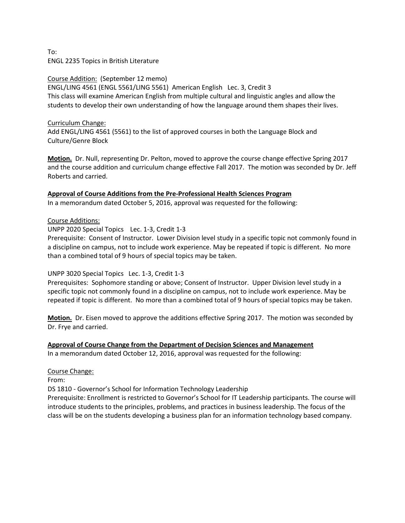To: ENGL 2235 Topics in British Literature

### Course Addition: (September 12 memo) ENGL/LING 4561 (ENGL 5561/LING 5561) American English Lec. 3, Credit 3 This class will examine American English from multiple cultural and linguistic angles and allow the students to develop their own understanding of how the language around them shapes their lives.

# Curriculum Change:

Add ENGL/LING 4561 (5561) to the list of approved courses in both the Language Block and Culture/Genre Block

**Motion.** Dr. Null, representing Dr. Pelton, moved to approve the course change effective Spring 2017 and the course addition and curriculum change effective Fall 2017. The motion was seconded by Dr. Jeff Roberts and carried.

# **Approval of Course Additions from the Pre-Professional Health Sciences Program**

In a memorandum dated October 5, 2016, approval was requested for the following:

### Course Additions:

UNPP 2020 Special Topics Lec. 1-3, Credit 1-3

Prerequisite: Consent of Instructor. Lower Division level study in a specific topic not commonly found in a discipline on campus, not to include work experience. May be repeated if topic is different. No more than a combined total of 9 hours of special topics may be taken.

# UNPP 3020 Special Topics Lec. 1-3, Credit 1-3

Prerequisites: Sophomore standing or above; Consent of Instructor. Upper Division level study in a specific topic not commonly found in a discipline on campus, not to include work experience. May be repeated if topic is different. No more than a combined total of 9 hours of special topics may be taken.

**Motion.** Dr. Eisen moved to approve the additions effective Spring 2017. The motion was seconded by Dr. Frye and carried.

**Approval of Course Change from the Department of Decision Sciences and Management** In a memorandum dated October 12, 2016, approval was requested for the following:

### Course Change:

From:

DS 1810 - Governor's School for Information Technology Leadership

Prerequisite: Enrollment is restricted to Governor's School for IT Leadership participants. The course will introduce students to the principles, problems, and practices in business leadership. The focus of the class will be on the students developing a business plan for an information technology based company.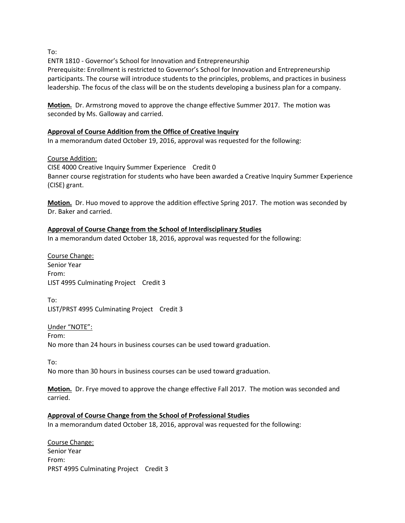To:

ENTR 1810 - Governor's School for Innovation and Entrepreneurship

Prerequisite: Enrollment is restricted to Governor's School for Innovation and Entrepreneurship participants. The course will introduce students to the principles, problems, and practices in business leadership. The focus of the class will be on the students developing a business plan for a company.

**Motion.** Dr. Armstrong moved to approve the change effective Summer 2017. The motion was seconded by Ms. Galloway and carried.

### **Approval of Course Addition from the Office of Creative Inquiry**

In a memorandum dated October 19, 2016, approval was requested for the following:

#### Course Addition:

CISE 4000 Creative Inquiry Summer Experience Credit 0 Banner course registration for students who have been awarded a Creative Inquiry Summer Experience (CISE) grant.

**Motion.** Dr. Huo moved to approve the addition effective Spring 2017. The motion was seconded by Dr. Baker and carried.

#### **Approval of Course Change from the School of Interdisciplinary Studies**

In a memorandum dated October 18, 2016, approval was requested for the following:

Course Change: Senior Year From: LIST 4995 Culminating Project Credit 3

To: LIST/PRST 4995 Culminating Project Credit 3

Under "NOTE": From: No more than 24 hours in business courses can be used toward graduation.

To:

No more than 30 hours in business courses can be used toward graduation.

**Motion.** Dr. Frye moved to approve the change effective Fall 2017. The motion was seconded and carried.

#### **Approval of Course Change from the School of Professional Studies**

In a memorandum dated October 18, 2016, approval was requested for the following:

Course Change: Senior Year From: PRST 4995 Culminating Project Credit 3